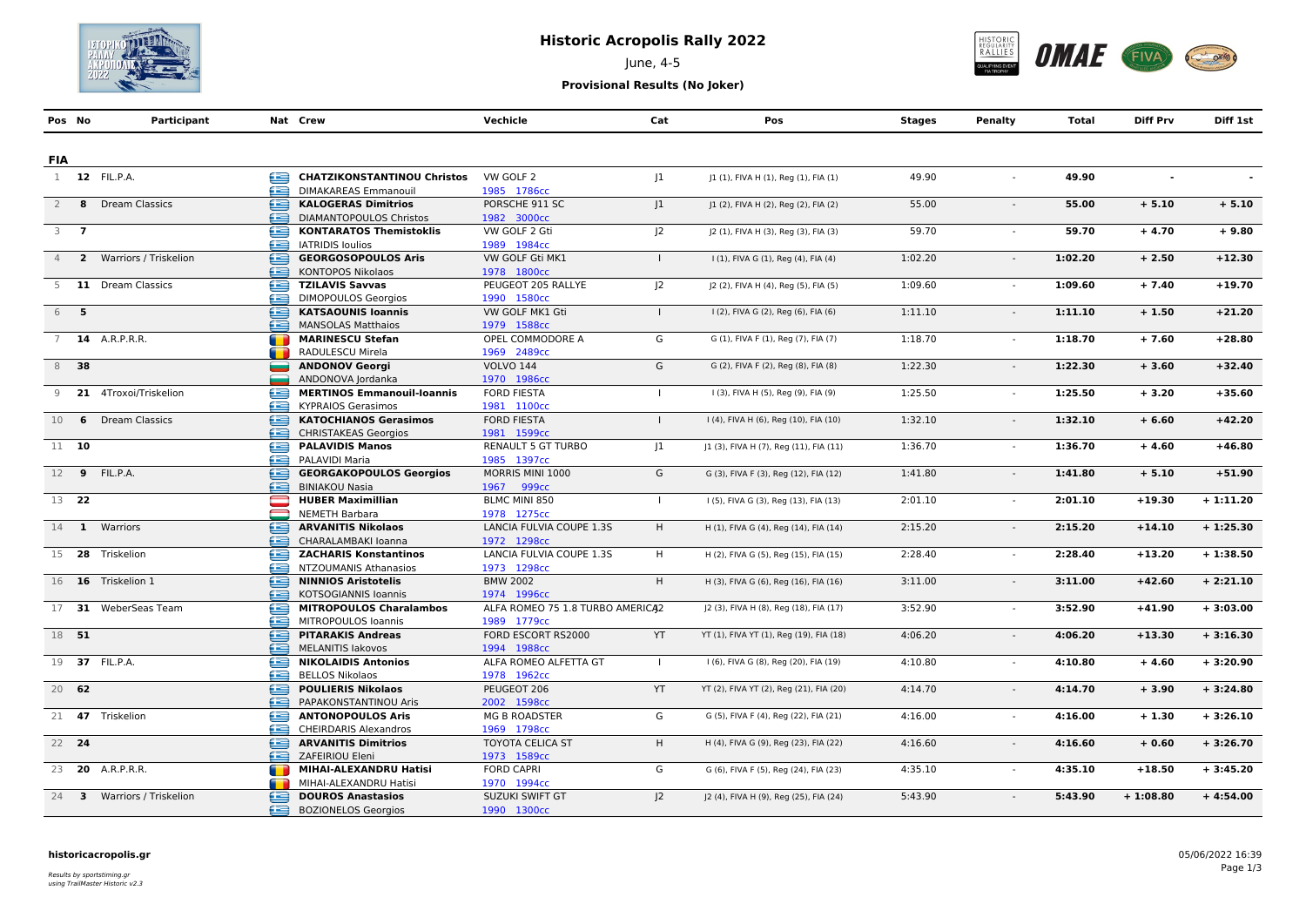

## **Historic Acropolis Rally 2022**

June, 4-5



**Provisional Results (No Joker)**

| Pos No                      |       | Participant                |                 | Nat Crew                           | Vechicle                         | Cat            | Pos                                     | <b>Stages</b> | <b>Penalty</b> | <b>Total</b> | <b>Diff Prv</b> | Diff 1st   |
|-----------------------------|-------|----------------------------|-----------------|------------------------------------|----------------------------------|----------------|-----------------------------------------|---------------|----------------|--------------|-----------------|------------|
|                             |       |                            |                 |                                    |                                  |                |                                         |               |                |              |                 |            |
| <b>FIA</b>                  |       |                            |                 |                                    |                                  |                |                                         |               |                |              |                 |            |
|                             |       | 1 12 FIL.P.A.              | Œ               | <b>CHATZIKONSTANTINOU Christos</b> | VW GOLF 2                        | 1              | J1 (1), FIVA H (1), Reg (1), FIA (1)    | 49.90         |                | 49.90        |                 |            |
|                             |       |                            | æ               | DIMAKAREAS Emmanouil               | 1985 1786cc                      |                |                                         |               |                |              |                 |            |
| 2                           |       | 8 Dream Classics           | æ               | <b>KALOGERAS Dimitrios</b>         | PORSCHE 911 SC                   | 1              | J1 (2), FIVA H (2), Reg (2), FIA (2)    | 55.00         |                | 55.00        | $+ 5.10$        | $+ 5.10$   |
|                             |       |                            | æ               | <b>DIAMANTOPOULOS Christos</b>     | 1982 3000cc                      |                |                                         |               |                |              |                 |            |
| $3 \overline{\phantom{0}7}$ |       |                            | œ               | <b>KONTARATOS Themistoklis</b>     | VW GOLF 2 Gti                    | J <sub>2</sub> | J2 (1), FIVA H (3), Reg (3), FIA (3)    | 59.70         | $\sim$         | 59.70        | $+4.70$         | $+9.80$    |
|                             |       |                            | £               | <b>IATRIDIS Ioulios</b>            | 1989 1984cc                      |                |                                         |               |                |              |                 |            |
|                             |       | 4 2 Warriors / Triskelion  | œ               | <b>GEORGOSOPOULOS Aris</b>         | VW GOLF Gti MK1                  |                | I (1), FIVA G (1), Reg (4), FIA (4)     | 1:02.20       | $\sim$         | 1:02.20      | $+2.50$         | $+12.30$   |
|                             |       |                            | æ               | <b>KONTOPOS Nikolaos</b>           | 1978 1800cc                      |                |                                         |               |                |              |                 |            |
|                             |       | 5 11 Dream Classics        | ⋐               | <b>TZILAVIS Savvas</b>             | PEUGEOT 205 RALLYE               | J <sub>2</sub> | J2 (2), FIVA H (4), Reg (5), FIA (5)    | 1:09.60       |                | 1:09.60      | $+7.40$         | $+19.70$   |
|                             |       |                            |                 | <b>DIMOPOULOS Georgios</b>         | 1990 1580cc                      |                |                                         |               |                |              |                 |            |
|                             | 6 5   |                            | ⊟               | <b>KATSAOUNIS Ioannis</b>          | VW GOLF MK1 Gti                  | $\mathbf{I}$   | I (2), FIVA G (2), Reg (6), FIA (6)     | 1:11.10       |                | 1:11.10      | $+1.50$         | $+21.20$   |
|                             |       |                            | æ               | <b>MANSOLAS Matthaios</b>          | 1979 1588cc                      |                |                                         |               |                |              |                 |            |
| $7^{\circ}$                 |       | <b>14</b> A.R.P.R.R.       | <b>THE REAL</b> | <b>MARINESCU Stefan</b>            | OPEL COMMODORE A                 | G              | G (1), FIVA F (1), Reg (7), FIA (7)     | 1:18.70       | $\sim$         | 1:18.70      | $+7.60$         | $+28.80$   |
|                             |       |                            |                 | RADULESCU Mirela                   | 1969 2489cc                      |                |                                         |               |                |              |                 |            |
|                             | 8 38  |                            |                 | <b>ANDONOV Georgi</b>              | <b>VOLVO 144</b>                 | G              | G (2), FIVA F (2), Reg (8), FIA (8)     | 1:22.30       | $\sim$         | 1:22.30      | $+3.60$         | $+32.40$   |
|                             |       |                            |                 | ANDONOVA Jordanka                  | 1970 1986cc                      |                |                                         |               |                |              |                 |            |
| 9                           |       | 21 4Troxoi/Triskelion      | œ               | <b>MERTINOS Emmanouil-Ioannis</b>  | <b>FORD FIESTA</b>               | L.             | I (3), FIVA H (5), Reg (9), FIA (9)     | 1:25.50       |                | 1:25.50      | $+3.20$         | $+35.60$   |
|                             |       |                            |                 | <b>KYPRAIOS Gerasimos</b>          | 1981 1100cc                      |                |                                         |               |                |              |                 |            |
| 10                          | 6     | <b>Dream Classics</b>      | ≘               | <b>KATOCHIANOS Gerasimos</b>       | <b>FORD FIESTA</b>               | $\mathbf{I}$   | I (4), FIVA H (6), Reg (10), FIA (10)   | 1:32.10       | $\sim$         | 1:32.10      | $+6.60$         | $+42.20$   |
|                             |       |                            | æ               | <b>CHRISTAKEAS Georgios</b>        | 1981 1599cc                      |                |                                         |               |                |              |                 |            |
| 11 10                       |       |                            | œ               | <b>PALAVIDIS Manos</b>             | <b>RENAULT 5 GT TURBO</b>        | $ 1\rangle$    | J1 (3), FIVA H (7), Reg (11), FIA (11)  | 1:36.70       | $\sim$         | 1:36.70      | $+4.60$         | $+46.80$   |
|                             |       |                            | œ               | PALAVIDI Maria                     | 1985 1397cc                      |                |                                         |               |                |              |                 |            |
|                             |       | 12 9 FIL.P.A.              | ≘               | <b>GEORGAKOPOULOS Georgios</b>     | MORRIS MINI 1000                 | G              | G (3), FIVA F (3), Reg (12), FIA (12)   | 1:41.80       |                | 1:41.80      | $+ 5.10$        | $+51.90$   |
|                             |       |                            | æ               | <b>BINIAKOU Nasia</b>              | 1967 999сс                       |                |                                         |               |                |              |                 |            |
|                             | 13 22 |                            |                 | <b>HUBER Maximillian</b>           | BLMC MINI 850                    | $\mathbf{L}$   | I (5), FIVA G (3), Reg (13), FIA (13)   | 2:01.10       |                | 2:01.10      | $+19.30$        | $+1:11.20$ |
|                             |       |                            | ═               | <b>NEMETH Barbara</b>              | 1978 1275cc                      |                |                                         |               |                |              |                 |            |
|                             |       | 14 1 Warriors              | œ               | <b>ARVANITIS Nikolaos</b>          | LANCIA FULVIA COUPE 1.3S         | H              | H (1), FIVA G (4), Reg (14), FIA (14)   | 2:15.20       |                | 2:15.20      | $+14.10$        | $+1:25.30$ |
|                             |       |                            | æ               | CHARALAMBAKI Ioanna                | 1972 1298cc                      |                |                                         |               |                |              |                 |            |
|                             |       | 15 28 Triskelion           | ⋐               | <b>ZACHARIS Konstantinos</b>       | LANCIA FULVIA COUPE 1.3S         | H              | H (2), FIVA G (5), Reg (15), FIA (15)   | 2:28.40       | $\sim$         | 2:28.40      | $+13.20$        | $+1:38.50$ |
|                             |       |                            | æ               | NTZOUMANIS Athanasios              | 1973 1298cc                      |                |                                         |               |                |              |                 |            |
|                             |       | 16 16 Triskelion 1         | ≘               | <b>NINNIOS Aristotelis</b>         | <b>BMW 2002</b>                  | H.             | H (3), FIVA G (6), Reg (16), FIA (16)   | 3:11.00       | $\sim$         | 3:11.00      | $+42.60$        | $+2:21.10$ |
|                             |       |                            | æ               | <b>KOTSOGIANNIS Ioannis</b>        | 1974 1996сс                      |                |                                         |               |                |              |                 |            |
|                             |       | 17 31 WeberSeas Team       | ⊟               | <b>MITROPOULOS Charalambos</b>     | ALFA ROMEO 75 1.8 TURBO AMERICA2 |                | J2 (3), FIVA H (8), Reg (18), FIA (17)  | 3:52.90       | $\sim$         | 3:52.90      | $+41.90$        | $+3:03.00$ |
|                             |       |                            | æ               | MITROPOULOS Ioannis                | 1989 1779cc                      |                |                                         |               |                |              |                 |            |
| 18 51                       |       |                            | œ               | <b>PITARAKIS Andreas</b>           | FORD ESCORT RS2000               | <b>YT</b>      | YT (1), FIVA YT (1), Reg (19), FIA (18) | 4:06.20       | $\sim$         | 4:06.20      | $+13.30$        | $+3:16.30$ |
|                             |       |                            | æ               | MELANITIS lakovos                  | 1994 1988cc                      |                |                                         |               |                |              |                 |            |
|                             |       | 19 37 FIL.P.A.             | ≘               | <b>NIKOLAIDIS Antonios</b>         | ALFA ROMEO ALFETTA GT            | $\mathbf{I}$   | I (6), FIVA G (8), Reg (20), FIA (19)   | 4:10.80       | $\sim$         | 4:10.80      | $+4.60$         | $+3:20.90$ |
|                             |       |                            | æ               | <b>BELLOS Nikolaos</b>             | 1978 1962cc                      |                |                                         |               |                |              |                 |            |
| $20$ 62                     |       |                            | 鱼               | <b>POULIERIS Nikolaos</b>          | PEUGEOT 206                      | YT             | YT (2), FIVA YT (2), Reg (21), FIA (20) | 4:14.70       |                | 4:14.70      | $+3.90$         | $+3:24.80$ |
|                             |       |                            | æ               | PAPAKONSTANTINOU Aris              | 2002 1598cc                      |                |                                         |               |                |              |                 |            |
|                             |       | 21 47 Triskelion           | e               | <b>ANTONOPOULOS Aris</b>           | <b>MG B ROADSTER</b>             | G              | G (5), FIVA F (4), Reg (22), FIA (21)   | 4:16.00       |                | 4:16.00      | $+1.30$         | $+3:26.10$ |
|                             |       |                            | æ               | <b>CHEIRDARIS Alexandros</b>       | 1969 1798cc                      |                |                                         |               |                |              |                 |            |
| 22 24                       |       |                            | œ               | <b>ARVANITIS Dimitrios</b>         | <b>TOYOTA CELICA ST</b>          | H              | H (4), FIVA G (9), Reg (23), FIA (22)   | 4:16.60       | $\sim$         | 4:16.60      | $+0.60$         | $+3:26.70$ |
|                             |       |                            |                 | ZAFEIRIOU Eleni                    | 1973 1589cc                      |                |                                         |               |                |              |                 |            |
|                             |       | 23 <b>20</b> A.R.P.R.R.    | œ               | MIHAI-ALEXANDRU Hatisi             | <b>FORD CAPRI</b>                | G              | G (6), FIVA F (5), Reg (24), FIA (23)   | 4:35.10       |                | 4:35.10      | $+18.50$        | $+3:45.20$ |
|                             |       |                            |                 | MIHAI-ALEXANDRU Hatisi             | 1970 1994cc                      |                |                                         |               |                |              |                 |            |
|                             |       | 24 3 Warriors / Triskelion | Œ               | <b>DOUROS Anastasios</b>           | SUZUKI SWIFT GT                  | $ 2\rangle$    | J2 (4), FIVA H (9), Reg (25), FIA (24)  | 5:43.90       |                | 5:43.90      | $+1:08.80$      | $+4:54.00$ |
|                             |       |                            | æ               | <b>BOZIONELOS Georgios</b>         | 1990 1300cc                      |                |                                         |               |                |              |                 |            |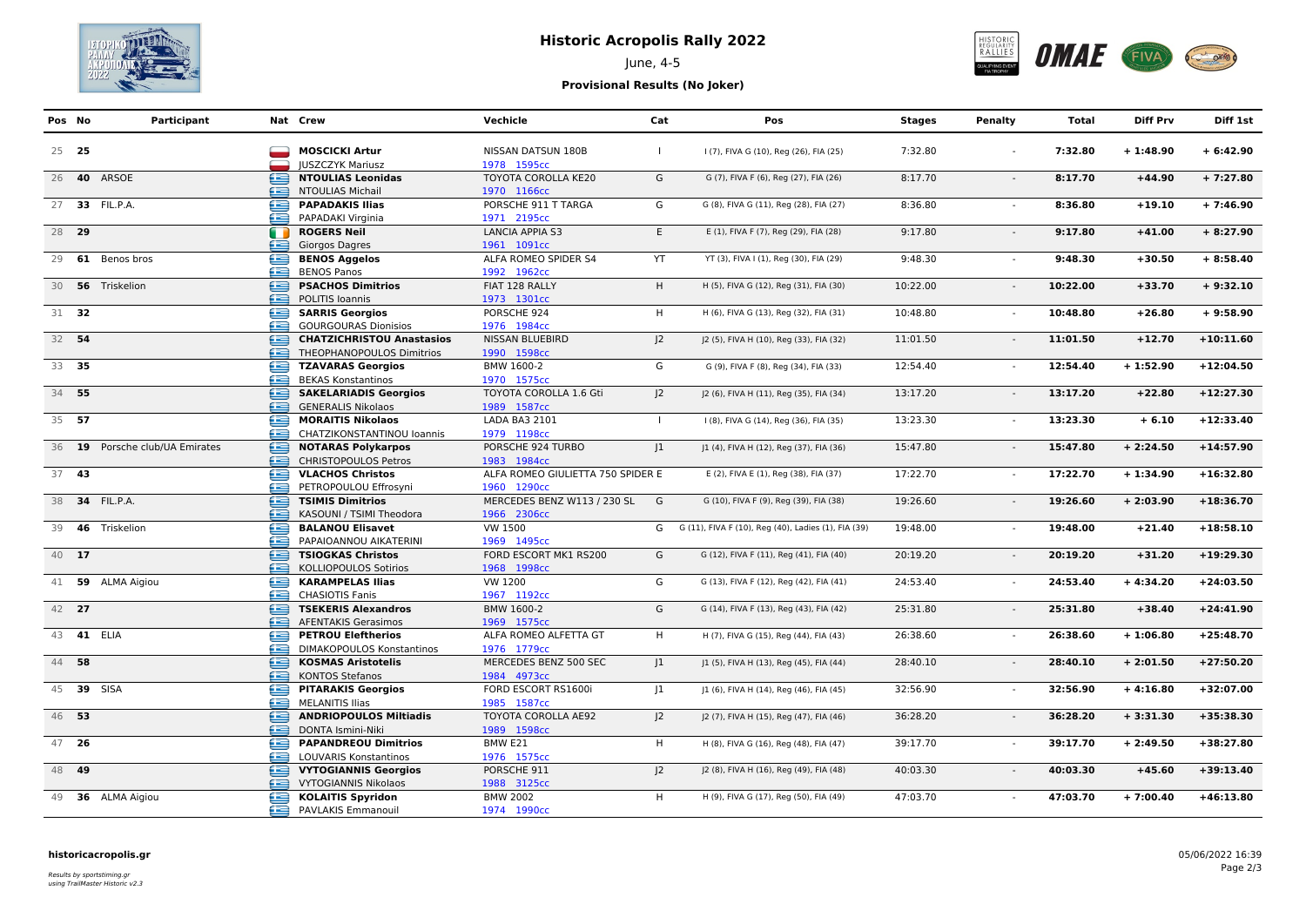

## **Historic Acropolis Rally 2022**



# June, 4-5

#### **Provisional Results (No Joker)**

| Pos No     | Participant                    |        | Nat Crew                                                      | Vechicle                                         | Cat            | Pos                                                   | <b>Stages</b> | Penalty        | Total    | <b>Diff Prv</b> | Diff 1st    |
|------------|--------------------------------|--------|---------------------------------------------------------------|--------------------------------------------------|----------------|-------------------------------------------------------|---------------|----------------|----------|-----------------|-------------|
| 25 25      |                                |        | <b>MOSCICKI Artur</b><br><b>IUSZCZYK Mariusz</b>              | <b>NISSAN DATSUN 180B</b><br>1978 1595cc         | $\mathbf{I}$   | I (7), FIVA G (10), Reg (26), FIA (25)                | 7:32.80       |                | 7:32.80  | $+1:48.90$      | $+6:42.90$  |
|            | 26 <b>40</b> ARSOE             | œ<br>œ | <b>NTOULIAS Leonidas</b><br><b>NTOULIAS Michail</b>           | TOYOTA COROLLA KE20<br>1970 1166cc               | G              | G (7), FIVA F (6), Reg (27), FIA (26)                 | 8:17.70       | $\sim$         | 8:17.70  | $+44.90$        | $+7:27.80$  |
|            | 27 33 FIL.P.A.                 | œ<br>æ | <b>PAPADAKIS Ilias</b><br>PAPADAKI Virginia                   | PORSCHE 911 T TARGA<br>1971 2195cc               | G              | G (8), FIVA G (11), Reg (28), FIA (27)                | 8:36.80       | $\sim$         | 8:36.80  | $+19.10$        | $+7:46.90$  |
| 28 29      |                                | m<br>œ | <b>ROGERS Neil</b><br>Giorgos Dagres                          | <b>LANCIA APPIA S3</b><br>1961 1091cc            | E              | E (1), FIVA F (7), Reg (29), FIA (28)                 | 9:17.80       | $\sim$         | 9:17.80  | $+41.00$        | $+8:27.90$  |
|            | 29 61 Benos bros               | œ<br>œ | <b>BENOS Aggelos</b><br><b>BENOS Panos</b>                    | ALFA ROMEO SPIDER S4<br>1992 1962cc              | YT             | YT (3), FIVA I (1), Reg (30), FIA (29)                | 9:48.30       | $\blacksquare$ | 9:48.30  | $+30.50$        | $+8:58.40$  |
|            | 30 56 Triskelion               | œ<br>£ | <b>PSACHOS Dimitrios</b><br>POLITIS Ioannis                   | FIAT 128 RALLY<br>1973 1301cc                    | H              | H (5), FIVA G (12), Reg (31), FIA (30)                | 10:22.00      |                | 10:22.00 | $+33.70$        | $+9:32.10$  |
| 31 32      |                                | ⊜      | <b>SARRIS Georgios</b><br><b>GOURGOURAS Dionisios</b>         | PORSCHE 924<br>1976 1984cc                       | H              | H (6), FIVA G (13), Reg (32), FIA (31)                | 10:48.80      | $\sim$         | 10:48.80 | $+26.80$        | $+9:58.90$  |
| 32 54      |                                | ∈<br>æ | <b>CHATZICHRISTOU Anastasios</b><br>THEOPHANOPOULOS Dimitrios | <b>NISSAN BLUEBIRD</b><br>1990 1598cc            | 2              | J2 (5), FIVA H (10), Reg (33), FIA (32)               | 11:01.50      |                | 11:01.50 | $+12.70$        | $+10:11.60$ |
| 33 35      |                                | e<br>æ | <b>TZAVARAS Georgios</b><br><b>BEKAS Konstantinos</b>         | BMW 1600-2<br>1970 1575cc                        | G              | G (9), FIVA F (8), Reg (34), FIA (33)                 | 12:54.40      |                | 12:54.40 | $+1:52.90$      | $+12:04.50$ |
| 34 55      |                                | ∈<br>æ | <b>SAKELARIADIS Georgios</b><br><b>GENERALIS Nikolaos</b>     | TOYOTA COROLLA 1.6 Gti<br>1989 1587cc            | 2              | J2 (6), FIVA H (11), Reg (35), FIA (34)               | 13:17.20      |                | 13:17.20 | $+22.80$        | $+12:27.30$ |
| 35 57      |                                | ఆ<br>æ | <b>MORAITIS Nikolaos</b><br>CHATZIKONSTANTINOU Ioannis        | LADA BA3 2101<br>1979 1198cc                     | $\mathbf{L}$   | I (8), FIVA G (14), Reg (36), FIA (35)                | 13:23.30      | $\sim$         | 13:23.30 | $+6.10$         | $+12:33.40$ |
|            | 36 19 Porsche club/UA Emirates | ∈<br>œ | <b>NOTARAS Polykarpos</b><br><b>CHRISTOPOULOS Petros</b>      | PORSCHE 924 TURBO<br>1983 1984cc                 | 1              | J1 (4), FIVA H (12), Reg (37), FIA (36)               | 15:47.80      |                | 15:47.80 | $+2:24.50$      | $+14:57.90$ |
| 37 43      |                                | £<br>œ | <b>VLACHOS Christos</b><br>PETROPOULOU Effrosyni              | ALFA ROMEO GIULIETTA 750 SPIDER E<br>1960 1290cc |                | E (2), FIVA E (1), Reg (38), FIA (37)                 | 17:22.70      |                | 17:22.70 | $+1:34.90$      | $+16:32.80$ |
|            | 38 34 FIL.P.A.                 | ⊜<br>æ | <b>TSIMIS Dimitrios</b><br>KASOUNI / TSIMI Theodora           | MERCEDES BENZ W113 / 230 SL G<br>1966 2306cc     |                | G (10), FIVA F (9), Reg (39), FIA (38)                | 19:26.60      |                | 19:26.60 | $+2:03.90$      | $+18:36.70$ |
|            | 39 46 Triskelion               | e<br>æ | <b>BALANOU Elisavet</b><br>PAPAIOANNOU AIKATERINI             | VW 1500<br>1969 1495cc                           |                | G G (11), FIVA F (10), Reg (40), Ladies (1), FIA (39) | 19:48.00      |                | 19:48.00 | $+21.40$        | $+18:58.10$ |
| 40 17      |                                | œ<br>œ | <b>TSIOGKAS Christos</b><br>KOLLIOPOULOS Sotirios             | FORD ESCORT MK1 RS200<br>1968 1998cc             | G              | G (12), FIVA F (11), Reg (41), FIA (40)               | 20:19.20      | $\sim$         | 20:19.20 | $+31.20$        | $+19:29.30$ |
|            | 41 59 ALMA Aigiou              | œ<br>æ | <b>KARAMPELAS Ilias</b><br><b>CHASIOTIS Fanis</b>             | VW 1200<br>1967 1192cc                           | G              | G (13), FIVA F (12), Reg (42), FIA (41)               | 24:53.40      |                | 24:53.40 | $+4:34.20$      | $+24:03.50$ |
| 42 27      |                                | £      | <b>TSEKERIS Alexandros</b><br><b>AFENTAKIS Gerasimos</b>      | BMW 1600-2<br>1969 1575cc                        | G              | G (14), FIVA F (13), Reg (43), FIA (42)               | 25:31.80      |                | 25:31.80 | $+38.40$        | $+24:41.90$ |
| 43 41 ELIA |                                | œ<br>æ | <b>PETROU Eleftherios</b><br><b>DIMAKOPOULOS Konstantinos</b> | ALFA ROMEO ALFETTA GT<br>1976 1779cc             | H              | H (7), FIVA G (15), Reg (44), FIA (43)                | 26:38.60      |                | 26:38.60 | $+1:06.80$      | $+25:48.70$ |
| 44 58      |                                | œ<br>æ | <b>KOSMAS Aristotelis</b><br><b>KONTOS Stefanos</b>           | MERCEDES BENZ 500 SEC<br>1984 4973cc             | 1              | J1 (5), FIVA H (13), Reg (45), FIA (44)               | 28:40.10      | $\blacksquare$ | 28:40.10 | $+2:01.50$      | $+27:50.20$ |
| 45 39 SISA |                                | œ      | <b>PITARAKIS Georgios</b><br><b>MELANITIS Ilias</b>           | FORD ESCORT RS1600i<br>1985 1587cc               | 1              | J1 (6), FIVA H (14), Reg (46), FIA (45)               | 32:56.90      |                | 32:56.90 | $+4:16.80$      | $+32:07.00$ |
| 46 53      |                                | £<br>æ | <b>ANDRIOPOULOS Miltiadis</b><br>DONTA Ismini-Niki            | TOYOTA COROLLA AE92<br>1989 1598cc               | 2              | J2 (7), FIVA H (15), Reg (47), FIA (46)               | 36:28.20      | $\sim$         | 36:28.20 | $+3:31.30$      | $+35:38.30$ |
| 47 26      |                                | œ<br>æ | <b>PAPANDREOU Dimitrios</b><br>LOUVARIS Konstantinos          | BMW E21<br>1976 1575cc                           | H              | H (8), FIVA G (16), Reg (48), FIA (47)                | 39:17.70      |                | 39:17.70 | $+2:49.50$      | $+38:27.80$ |
| 48 49      |                                | œ<br>æ | <b>VYTOGIANNIS Georgios</b><br><b>VYTOGIANNIS Nikolaos</b>    | PORSCHE 911<br>1988 3125cc                       | J <sup>2</sup> | J2 (8), FIVA H (16), Reg (49), FIA (48)               | 40:03.30      |                | 40:03.30 | $+45.60$        | $+39:13.40$ |
|            | 49 36 ALMA Aigiou              | ∈<br>æ | <b>KOLAITIS Spyridon</b><br>PAVLAKIS Emmanouil                | <b>BMW 2002</b><br>1974 1990cc                   | H              | H (9), FIVA G (17), Reg (50), FIA (49)                | 47:03.70      |                | 47:03.70 | $+7:00.40$      | $+46:13.80$ |